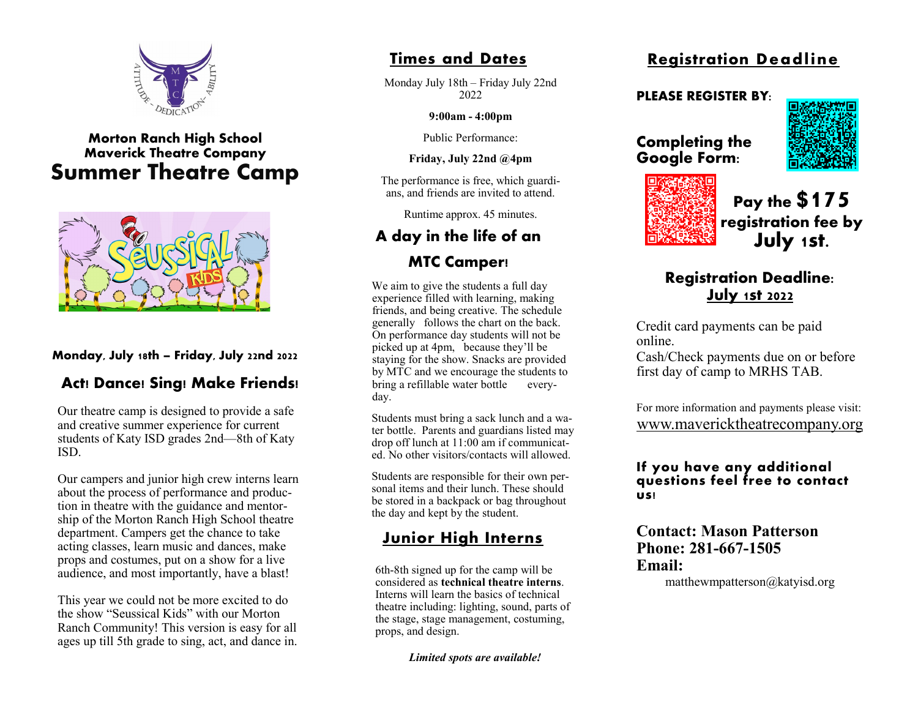

## **Morton Ranch High School Maverick Theatre Company Summer Theatre Camp**



### **Monday, July 18th – Friday, July 22nd 2022**

# **Act! Dance! Sing! Make Friends!**

Our theatre camp is designed to provide a safe and creative summer experience for current students of Katy ISD grades 2nd—8th of Katy ISD.

Our campers and junior high crew interns learn about the process of performance and production in theatre with the guidance and mentorship of the Morton Ranch High School theatre department. Campers get the chance to take acting classes, learn music and dances, make props and costumes, put on a show for a live audience, and most importantly, have a blast!

This year we could not be more excited to do the show "Seussical Kids" with our Morton Ranch Community! This version is easy for all ages up till 5th grade to sing, act, and dance in.

## **Times and Dates**

Monday July 18th – Friday July 22nd 2022

**9:00am - 4:00pm**

Public Performance:

**Friday, July 22nd @4pm**

The performance is free, which guardians, and friends are invited to attend.

Runtime approx. 45 minutes.

# **A day in the life of an MTC Camper!**

We aim to give the students a full day experience filled with learning, making friends, and being creative. The schedule generally follows the chart on the back. On performance day students will not be picked up at 4pm, because they'll be staying for the show. Snacks are provided by MTC and we encourage the students to bring a refillable water bottle everyday.

Students must bring a sack lunch and a water bottle. Parents and guardians listed may drop off lunch at 11:00 am if communicated. No other visitors/contacts will allowed.

Students are responsible for their own personal items and their lunch. These should be stored in a backpack or bag throughout the day and kept by the student.

# **Junior High Interns**

6th-8th signed up for the camp will be considered as **technical theatre interns**. Interns will learn the basics of technical theatre including: lighting, sound, parts of the stage, stage management, costuming, props, and design.

*Limited spots are available!*

# **Registration Deadline**

#### **PLEASE REGISTER BY:**





**Completing the Google Form:**

> **Pay the \$175 registration fee by July 1st.**

# **Registration Deadline: July 1st 2022**

Credit card payments can be paid online.

Cash/Check payments due on or before first day of camp to MRHS TAB.

For more information and payments please visit: www.mavericktheatrecompany.org

#### **If you have any additional questions feel free to contact us!**

**Contact: Mason Patterson Phone: 281-667-1505 Email:** 

matthewmpatterson@katyisd.org